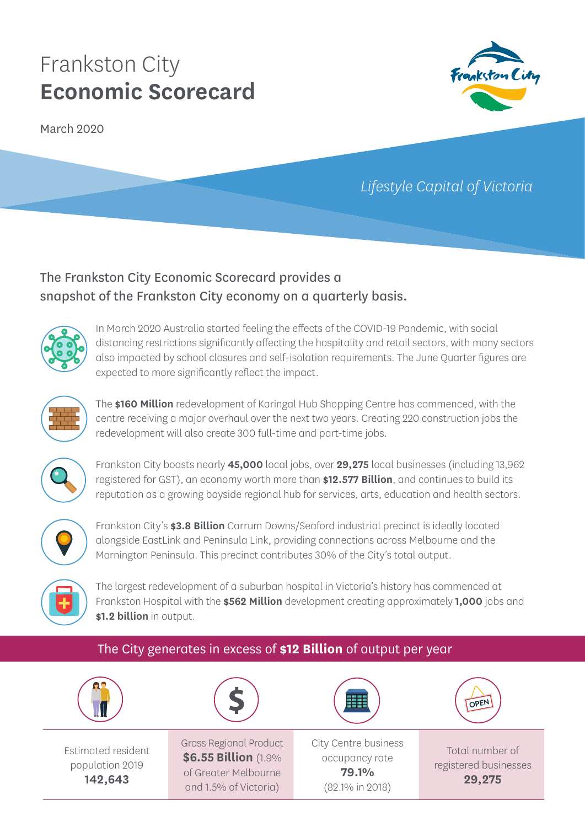# Frankston City **Economic Scorecard**

March 2020



## *Lifestyle Capital of Victoria*

## The Frankston City Economic Scorecard provides a snapshot of the Frankston City economy on a quarterly basis.



In March 2020 Australia started feeling the effects of the COVID-19 Pandemic, with social distancing restrictions significantly affecting the hospitality and retail sectors, with many sectors also impacted by school closures and self-isolation requirements. The June Quarter figures are expected to more significantly reflect the impact.



The **\$160 Million** redevelopment of Karingal Hub Shopping Centre has commenced, with the centre receiving a major overhaul over the next two years. Creating 220 construction jobs the redevelopment will also create 300 full-time and part-time jobs.



Frankston City boasts nearly **45,000** local jobs, over **29,275** local businesses (including 13,962 registered for GST), an economy worth more than **\$12.577 Billion**, and continues to build its reputation as a growing bayside regional hub for services, arts, education and health sectors.



Frankston City's **\$3.8 Billion** Carrum Downs/Seaford industrial precinct is ideally located alongside EastLink and Peninsula Link, providing connections across Melbourne and the Mornington Peninsula. This precinct contributes 30% of the City's total output.



The largest redevelopment of a suburban hospital in Victoria's history has commenced at Frankston Hospital with the **\$562 Million** development creating approximately **1,000** jobs and **\$1.2 billion** in output.

#### The City generates in excess of **\$12 Billion** of output per year



Estimated resident population 2019 **142,643**

Gross Regional Product **\$6.55 Billion** (1.9% of Greater Melbourne and 1.5% of Victoria)

City Centre business occupancy rate **79.1%**  (82.1% in 2018)

OPEN

Total number of registered businesses **29,275**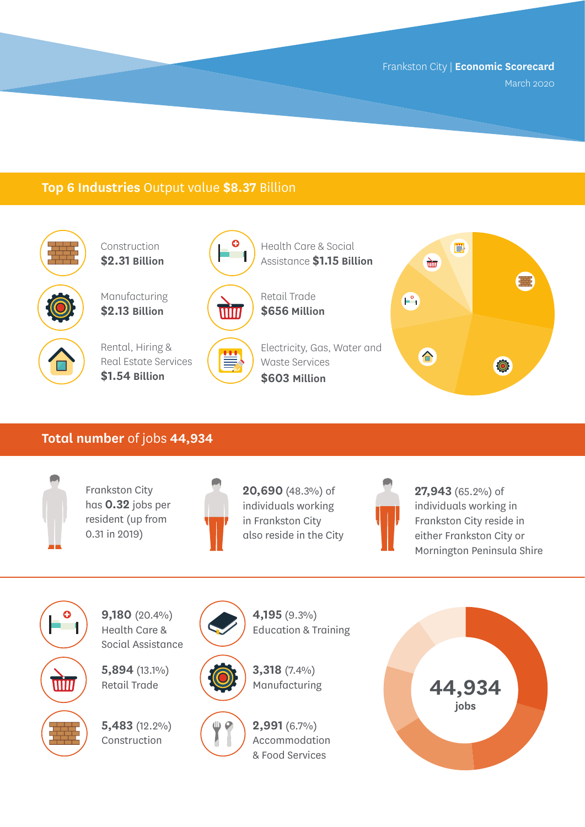#### **Top 6 Industries** Output value **\$8.37** Billion



Construction **\$2.31 Billion**

Manufacturing **\$2.13 Billion**



Rental, Hiring & Real Estate Services **\$1.54 Billion**



win

Retail Trade **\$656 Million**

Health Care & Social Assistance **\$1.15 Billion**

Electricity, Gas, Water and Ë Waste Services **\$603 Million**



#### **Total number** of jobs **44,934**



Frankston City has **0.32** jobs per resident (up from 0.31 in 2019)



**20,690** (48.3%) of individuals working in Frankston City also reside in the City



**27,943** (65.2%) of individuals working in Frankston City reside in either Frankston City or Mornington Peninsula Shire

O win

**9,180** (20.4%) Health Care & Social Assistance

**5,894** (13.1%) Retail Trade

**5,483** (12.2%) Construction





Education & Training

**4,195** (9.3%)





**3,318** (7.4%) Manufacturing

**2,991** (6.7%) Accommodation & Food Services

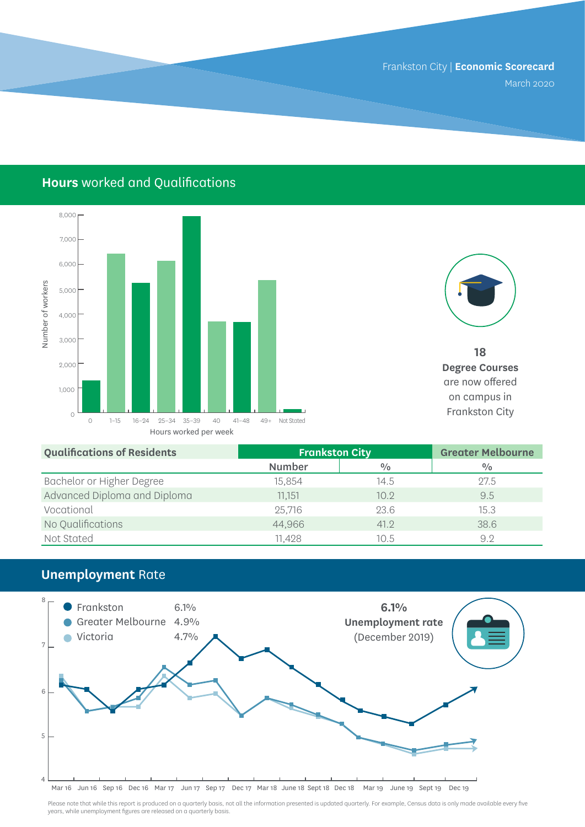## **Hours** worked and Qualifications





**18 Degree Courses**  are now offered on campus in

| <b>Qualifications of Residents</b> | <b>Frankston City</b> |               | <b>Greater Melbourne</b> |
|------------------------------------|-----------------------|---------------|--------------------------|
|                                    | <b>Number</b>         | $\frac{0}{0}$ | $\frac{0}{0}$            |
| Bachelor or Higher Degree          | 15,854                | 14.5          | 27.5                     |
| Advanced Diploma and Diploma       | 11,151                | 10.9          | 9.5                      |
| Vocational                         | 25,716                | 23.6          | 15.3                     |
| No Qualifications                  | 44,966                | 41.2          | 38.6                     |
| Not Stated                         | 11.428                | 10.5          | 9.2                      |

#### **Unemployment** Rate



Please note that while this report is produced on a quarterly basis, not all the information presented is updated quarterly. For example, Census data is only made available every five years, while unemployment figures are released on a quarterly basis.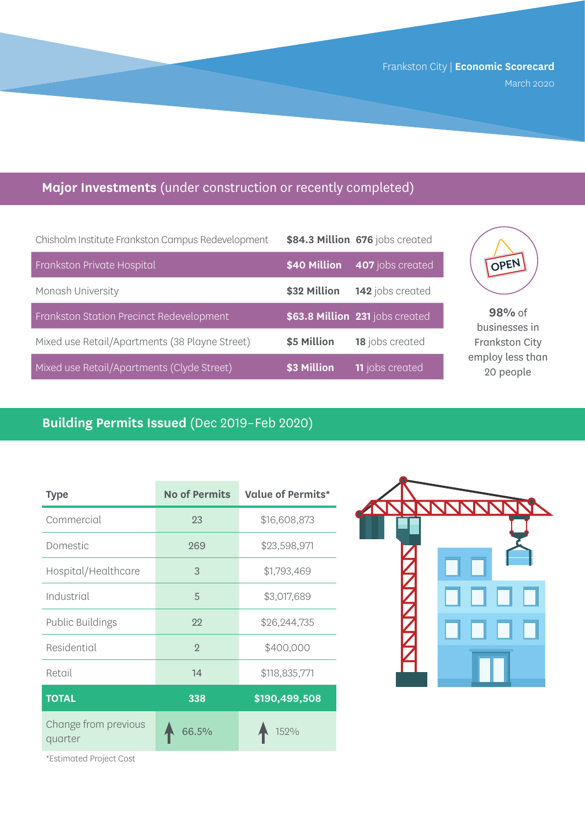## **Major Investments** (under construction or recently completed)

| Chisholm Institute Frankston Campus Redevelopment |              | \$84.3 Million 676 jobs created |
|---------------------------------------------------|--------------|---------------------------------|
| Frankston Private Hospital                        | \$40 Million | 407 jobs created                |
| Monash University                                 | \$32 Million | 142 jobs created                |
| Frankston Station Precinct Redevelopment          |              | \$63.8 Million 231 jobs created |
| Mixed use Retail/Apartments (38 Playne Street)    | \$5 Million  | 18 jobs created                 |
| Mixed use Retail/Apartments (Clyde Street)        | \$3 Million  | <b>11</b> jobs created          |



**98%** of businesses in Frankston City employ less than 20 people

## **Building Permits Issued** (Dec 2019–Feb 2020)

| <b>Type</b>                     | <b>No of Permits</b> | <b>Value of Permits*</b> |
|---------------------------------|----------------------|--------------------------|
| Commercial                      | 23                   | \$16,608,873             |
| Domestic                        | 269                  | \$23,598,971             |
| Hospital/Healthcare             | 3                    | \$1,793,469              |
| Industrial                      | 5                    | \$3,017,689              |
| Public Buildings                | 22                   | \$26,244,735             |
| Residential                     | $\overline{2}$       | \$400,000                |
| Retail                          | 14                   | \$118,835,771            |
| <b>TOTAL</b>                    | 338                  | \$190,499,508            |
| Change from previous<br>quarter | 66.5%                | 152%                     |



\*Estimated Project Cost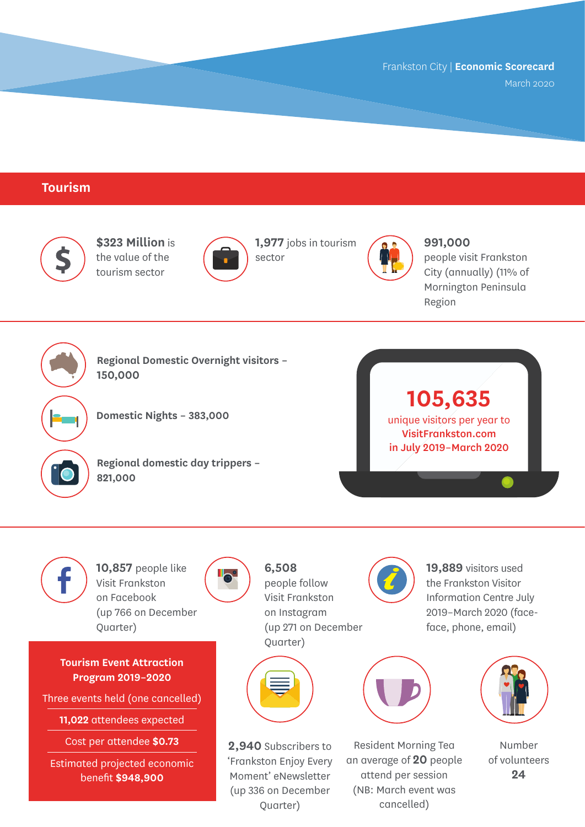#### **Tourism**



Visit Frankston on Facebook (up 766 on December Quarter)

**Tourism Event Attraction Program 2019–2020**

Three events held (one cancelled)

**11,022** attendees expected

Cost per attendee **\$0.73**

Estimated projected economic benefit **\$948,900**

**b** 

people follow Visit Frankston on Instagram (up 271 on December



**2,940** Subscribers to 'Frankston Enjoy Every Moment' eNewsletter (up 336 on December Quarter)

the Frankston Visitor Information Centre July 2019–March 2020 (faceface, phone, email)



Resident Morning Tea an average of **20** people attend per session (NB: March event was cancelled)



Number of volunteers **24**